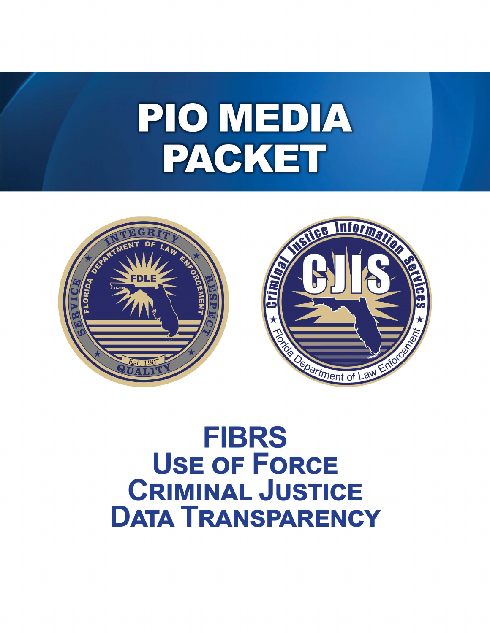# PIO MEDIA PACKET



# **FIBRS USE OF FORCE CRIMINAL JUSTICE DATA TRANSPARENCY**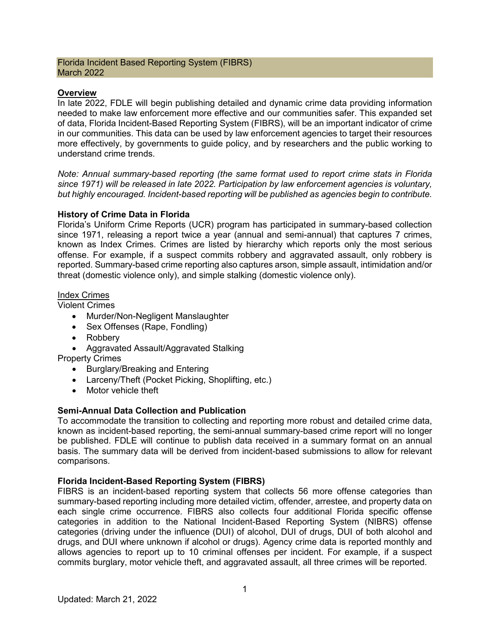#### Florida Incident Based Reporting System (FIBRS) March 2022

### **Overview**

In late 2022, FDLE will begin publishing detailed and dynamic crime data providing information needed to make law enforcement more effective and our communities safer. This expanded set of data, Florida Incident-Based Reporting System (FIBRS), will be an important indicator of crime in our communities. This data can be used by law enforcement agencies to target their resources more effectively, by governments to guide policy, and by researchers and the public working to understand crime trends.

*Note: Annual summary-based reporting (the same format used to report crime stats in Florida since 1971) will be released in late 2022. Participation by law enforcement agencies is voluntary, but highly encouraged. Incident-based reporting will be published as agencies begin to contribute.*

#### **History of Crime Data in Florida**

Florida's Uniform Crime Reports (UCR) program has participated in summary-based collection since 1971, releasing a report twice a year (annual and semi-annual) that captures 7 crimes, known as Index Crimes. Crimes are listed by hierarchy which reports only the most serious offense. For example, if a suspect commits robbery and aggravated assault, only robbery is reported. Summary-based crime reporting also captures arson, simple assault, intimidation and/or threat (domestic violence only), and simple stalking (domestic violence only).

#### Index Crimes

Violent Crimes

- Murder/Non-Negligent Manslaughter
- Sex Offenses (Rape, Fondling)
- Robbery
- Aggravated Assault/Aggravated Stalking

Property Crimes

- Burglary/Breaking and Entering
- Larceny/Theft (Pocket Picking, Shoplifting, etc.)
- Motor vehicle theft

# **Semi-Annual Data Collection and Publication**

To accommodate the transition to collecting and reporting more robust and detailed crime data, known as incident-based reporting, the semi-annual summary-based crime report will no longer be published. FDLE will continue to publish data received in a summary format on an annual basis. The summary data will be derived from incident-based submissions to allow for relevant comparisons.

# **Florida Incident-Based Reporting System (FIBRS)**

FIBRS is an incident-based reporting system that collects 56 more offense categories than summary-based reporting including more detailed victim, offender, arrestee, and property data on each single crime occurrence. FIBRS also collects four additional Florida specific offense categories in addition to the National Incident-Based Reporting System (NIBRS) offense categories (driving under the influence (DUI) of alcohol, DUI of drugs, DUI of both alcohol and drugs, and DUI where unknown if alcohol or drugs). Agency crime data is reported monthly and allows agencies to report up to 10 criminal offenses per incident. For example, if a suspect commits burglary, motor vehicle theft, and aggravated assault, all three crimes will be reported.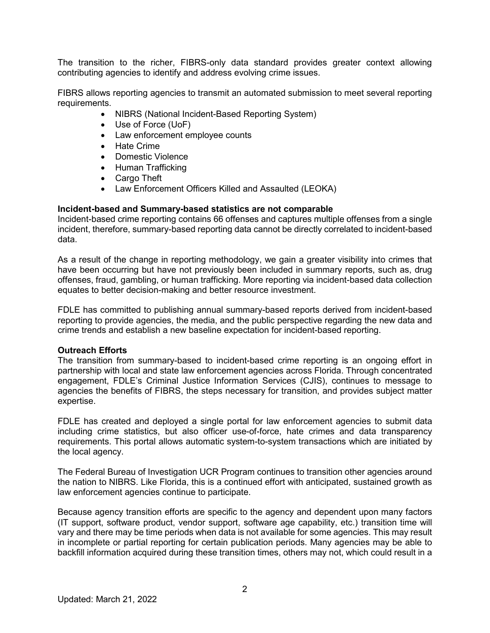The transition to the richer, FIBRS-only data standard provides greater context allowing contributing agencies to identify and address evolving crime issues.

FIBRS allows reporting agencies to transmit an automated submission to meet several reporting requirements.

- NIBRS (National Incident-Based Reporting System)
- Use of Force (UoF)
- Law enforcement employee counts
- Hate Crime
- Domestic Violence
- Human Trafficking
- Cargo Theft
- Law Enforcement Officers Killed and Assaulted (LEOKA)

#### **Incident-based and Summary-based statistics are not comparable**

Incident-based crime reporting contains 66 offenses and captures multiple offenses from a single incident, therefore, summary-based reporting data cannot be directly correlated to incident-based data.

As a result of the change in reporting methodology, we gain a greater visibility into crimes that have been occurring but have not previously been included in summary reports, such as, drug offenses, fraud, gambling, or human trafficking. More reporting via incident-based data collection equates to better decision-making and better resource investment.

FDLE has committed to publishing annual summary-based reports derived from incident-based reporting to provide agencies, the media, and the public perspective regarding the new data and crime trends and establish a new baseline expectation for incident-based reporting.

#### **Outreach Efforts**

The transition from summary-based to incident-based crime reporting is an ongoing effort in partnership with local and state law enforcement agencies across Florida. Through concentrated engagement, FDLE's Criminal Justice Information Services (CJIS), continues to message to agencies the benefits of FIBRS, the steps necessary for transition, and provides subject matter expertise.

FDLE has created and deployed a single portal for law enforcement agencies to submit data including crime statistics, but also officer use-of-force, hate crimes and data transparency requirements. This portal allows automatic system-to-system transactions which are initiated by the local agency.

The Federal Bureau of Investigation UCR Program continues to transition other agencies around the nation to NIBRS. Like Florida, this is a continued effort with anticipated, sustained growth as law enforcement agencies continue to participate.

Because agency transition efforts are specific to the agency and dependent upon many factors (IT support, software product, vendor support, software age capability, etc.) transition time will vary and there may be time periods when data is not available for some agencies. This may result in incomplete or partial reporting for certain publication periods. Many agencies may be able to backfill information acquired during these transition times, others may not, which could result in a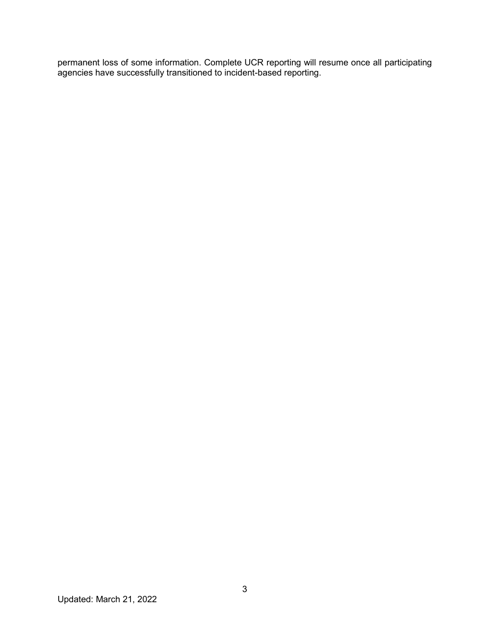permanent loss of some information. Complete UCR reporting will resume once all participating agencies have successfully transitioned to incident-based reporting.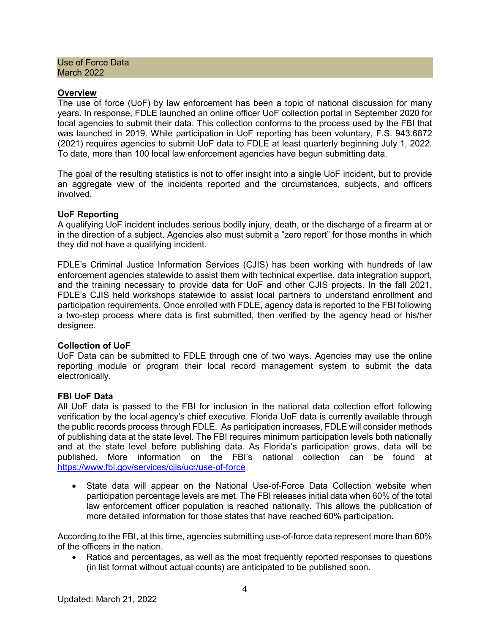Use of Force Data March 2022

#### **Overview**

The use of force (UoF) by law enforcement has been a topic of national discussion for many years. In response, FDLE launched an online officer UoF collection portal in September 2020 for local agencies to submit their data. This collection conforms to the process used by the FBI that was launched in 2019. While participation in UoF reporting has been voluntary, F.S. 943.6872 (2021) requires agencies to submit UoF data to FDLE at least quarterly beginning July 1, 2022. To date, more than 100 local law enforcement agencies have begun submitting data.

The goal of the resulting statistics is not to offer insight into a single UoF incident, but to provide an aggregate view of the incidents reported and the circumstances, subjects, and officers involved.

#### **UoF Reporting**

A qualifying UoF incident includes serious bodily injury, death, or the discharge of a firearm at or in the direction of a subject. Agencies also must submit a "zero report" for those months in which they did not have a qualifying incident.

FDLE's Criminal Justice Information Services (CJIS) has been working with hundreds of law enforcement agencies statewide to assist them with technical expertise, data integration support, and the training necessary to provide data for UoF and other CJIS projects. In the fall 2021, FDLE's CJIS held workshops statewide to assist local partners to understand enrollment and participation requirements. Once enrolled with FDLE, agency data is reported to the FBI following a two-step process where data is first submitted, then verified by the agency head or his/her designee.

#### **Collection of UoF**

UoF Data can be submitted to FDLE through one of two ways. Agencies may use the online reporting module or program their local record management system to submit the data electronically.

#### **FBI UoF Data**

All UoF data is passed to the FBI for inclusion in the national data collection effort following verification by the local agency's chief executive. Florida UoF data is currently available through the public records process through FDLE. As participation increases, FDLE will consider methods of publishing data at the state level. The FBI requires minimum participation levels both nationally and at the state level before publishing data. As Florida's participation grows, data will be published. More information on the FBI's national collection can be found at <https://www.fbi.gov/services/cjis/ucr/use-of-force>

• State data will appear on the National Use-of-Force Data Collection website when participation percentage levels are met. The FBI releases initial data when 60% of the total law enforcement officer population is reached nationally. This allows the publication of more detailed information for those states that have reached 60% participation.

According to the FBI, at this time, agencies submitting use-of-force data represent more than 60% of the officers in the nation.

• Ratios and percentages, as well as the most frequently reported responses to questions (in list format without actual counts) are anticipated to be published soon.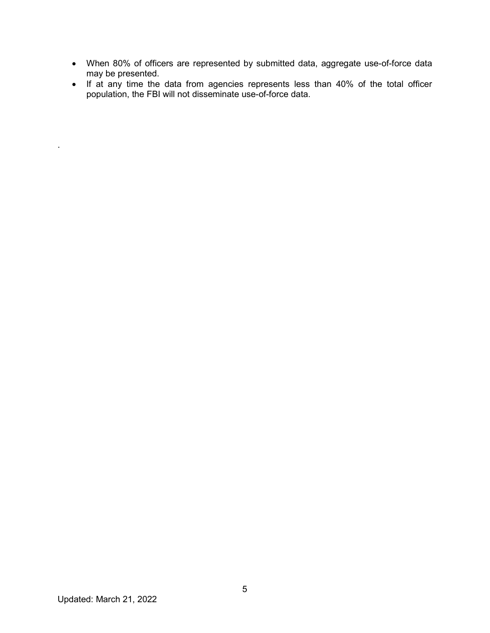- When 80% of officers are represented by submitted data, aggregate use-of-force data may be presented.
- If at any time the data from agencies represents less than 40% of the total officer population, the FBI will not disseminate use-of-force data.

.